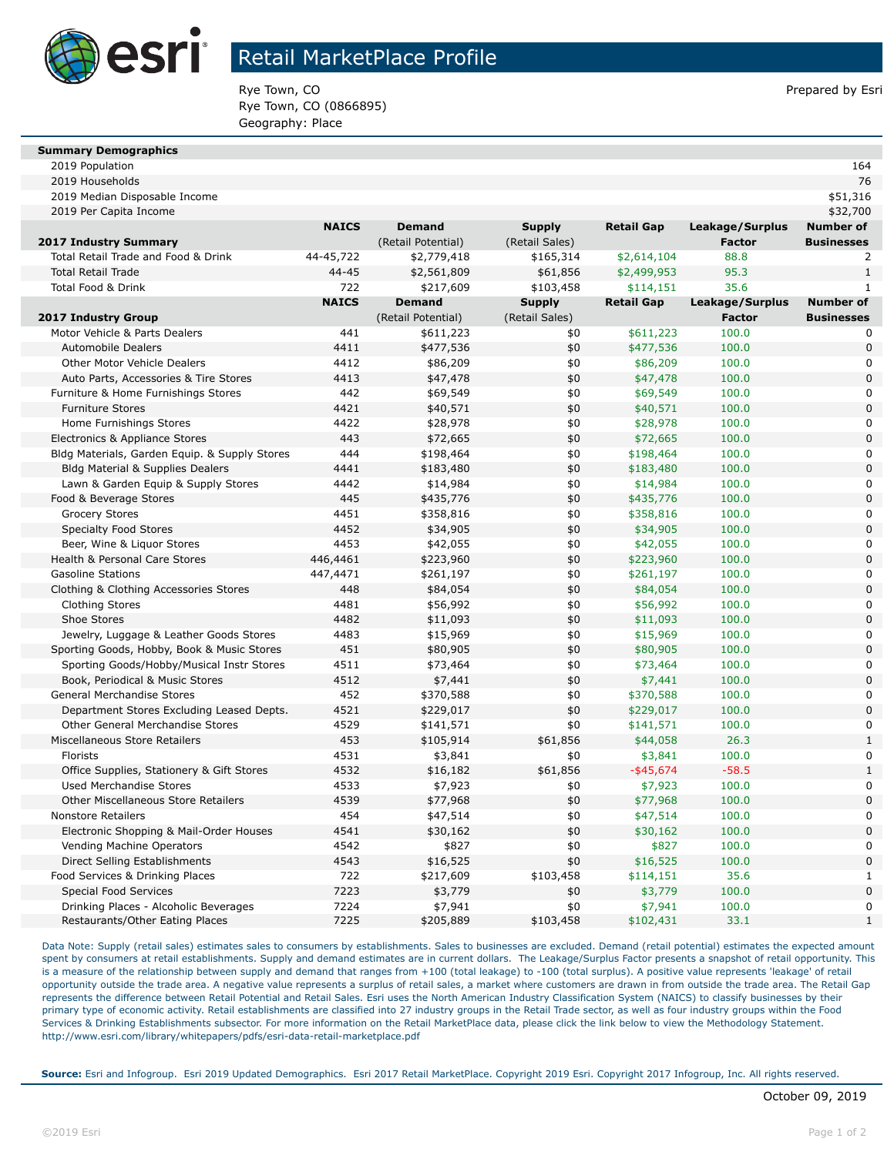

## Retail MarketPlace Profile

Rye Town, CO **Prepared by Esri** Prepared by Esri Rye Town, CO (0866895) Geography: Place

#### **Summary Demographics**

2019 Population 164

| 2019 Households                               |              |                    |                |                   |                 | 76                |
|-----------------------------------------------|--------------|--------------------|----------------|-------------------|-----------------|-------------------|
| 2019 Median Disposable Income                 |              |                    |                |                   |                 | \$51,316          |
| 2019 Per Capita Income                        |              |                    |                |                   |                 | \$32,700          |
|                                               | <b>NAICS</b> | <b>Demand</b>      | <b>Supply</b>  | <b>Retail Gap</b> | Leakage/Surplus | <b>Number of</b>  |
| 2017 Industry Summary                         |              | (Retail Potential) | (Retail Sales) |                   | <b>Factor</b>   | <b>Businesses</b> |
| Total Retail Trade and Food & Drink           | 44-45,722    | \$2,779,418        | \$165,314      | \$2,614,104       | 88.8            | 2                 |
| <b>Total Retail Trade</b>                     | $44 - 45$    | \$2,561,809        | \$61,856       | \$2,499,953       | 95.3            | $\mathbf{1}$      |
| <b>Total Food &amp; Drink</b>                 | 722          | \$217,609          | \$103,458      | \$114,151         | 35.6            | $\mathbf{1}$      |
|                                               | <b>NAICS</b> | <b>Demand</b>      | <b>Supply</b>  | <b>Retail Gap</b> | Leakage/Surplus | <b>Number of</b>  |
| 2017 Industry Group                           |              | (Retail Potential) | (Retail Sales) |                   | <b>Factor</b>   | <b>Businesses</b> |
| Motor Vehicle & Parts Dealers                 | 441          | \$611,223          | \$0            | \$611,223         | 100.0           | 0                 |
| <b>Automobile Dealers</b>                     | 4411         | \$477,536          | \$0            | \$477,536         | 100.0           | $\Omega$          |
| <b>Other Motor Vehicle Dealers</b>            | 4412         | \$86,209           | \$0            | \$86,209          | 100.0           | $\Omega$          |
| Auto Parts, Accessories & Tire Stores         | 4413         | \$47,478           | \$0            | \$47,478          | 100.0           | $\overline{0}$    |
| Furniture & Home Furnishings Stores           | 442          | \$69,549           | \$0            | \$69,549          | 100.0           | $\Omega$          |
| <b>Furniture Stores</b>                       | 4421         | \$40,571           | \$0            | \$40,571          | 100.0           | $\Omega$          |
| Home Furnishings Stores                       | 4422         | \$28,978           | \$0            | \$28,978          | 100.0           | $\Omega$          |
| Electronics & Appliance Stores                | 443          | \$72,665           | \$0            | \$72,665          | 100.0           | $\Omega$          |
| Bldg Materials, Garden Equip. & Supply Stores | 444          | \$198,464          | \$0            | \$198,464         | 100.0           | $\mathbf 0$       |
| Bldg Material & Supplies Dealers              | 4441         | \$183,480          | \$0            | \$183,480         | 100.0           | $\Omega$          |
| Lawn & Garden Equip & Supply Stores           | 4442         | \$14,984           | \$0            | \$14,984          | 100.0           | $\mathbf 0$       |
| Food & Beverage Stores                        | 445          | \$435,776          | \$0            | \$435,776         | 100.0           | $\Omega$          |
| <b>Grocery Stores</b>                         | 4451         | \$358,816          | \$0            | \$358,816         | 100.0           | $\mathbf 0$       |
| <b>Specialty Food Stores</b>                  | 4452         | \$34,905           | \$0            | \$34,905          | 100.0           | $\Omega$          |
| Beer, Wine & Liquor Stores                    | 4453         | \$42,055           | \$0            | \$42,055          | 100.0           | $\Omega$          |
| Health & Personal Care Stores                 | 446,4461     | \$223,960          | \$0            | \$223,960         | 100.0           | $\Omega$          |
| <b>Gasoline Stations</b>                      | 447,4471     | \$261,197          | \$0            | \$261,197         | 100.0           | $\mathbf 0$       |
| Clothing & Clothing Accessories Stores        | 448          | \$84,054           | \$0            | \$84,054          | 100.0           | $\Omega$          |
| <b>Clothing Stores</b>                        | 4481         | \$56,992           | \$0            | \$56,992          | 100.0           | $\mathbf 0$       |
| Shoe Stores                                   | 4482         | \$11,093           | \$0            | \$11,093          | 100.0           | $\Omega$          |
| Jewelry, Luggage & Leather Goods Stores       | 4483         | \$15,969           | \$0            | \$15,969          | 100.0           | $\mathbf 0$       |
| Sporting Goods, Hobby, Book & Music Stores    | 451          | \$80,905           | \$0            | \$80,905          | 100.0           | $\overline{0}$    |
| Sporting Goods/Hobby/Musical Instr Stores     | 4511         | \$73,464           | \$0            | \$73,464          | 100.0           | $\Omega$          |
| Book, Periodical & Music Stores               | 4512         | \$7,441            | \$0            | \$7,441           | 100.0           | $\Omega$          |
| General Merchandise Stores                    | 452          | \$370,588          | \$0            | \$370,588         | 100.0           | $\mathbf 0$       |
| Department Stores Excluding Leased Depts.     | 4521         | \$229,017          | \$0            | \$229,017         | 100.0           | $\Omega$          |
| Other General Merchandise Stores              | 4529         | \$141,571          | \$0            | \$141,571         | 100.0           | $\mathbf 0$       |
| Miscellaneous Store Retailers                 | 453          | \$105,914          | \$61,856       | \$44,058          | 26.3            | $\mathbf{1}$      |
| Florists                                      | 4531         | \$3,841            | \$0            | \$3,841           | 100.0           | $\Omega$          |
| Office Supplies, Stationery & Gift Stores     | 4532         | \$16,182           | \$61,856       | $-$ \$45,674      | $-58.5$         | $\mathbf{1}$      |
| <b>Used Merchandise Stores</b>                | 4533         | \$7,923            | \$0            | \$7,923           | 100.0           | $\Omega$          |
| Other Miscellaneous Store Retailers           | 4539         | \$77,968           | \$0            | \$77,968          | 100.0           | $\overline{0}$    |
| <b>Nonstore Retailers</b>                     | 454          | \$47,514           | \$0            | \$47,514          | 100.0           | $\mathbf 0$       |
| Electronic Shopping & Mail-Order Houses       | 4541         | \$30,162           | \$0            | \$30,162          | 100.0           | $\Omega$          |
| Vending Machine Operators                     | 4542         | \$827              | \$0            | \$827             | 100.0           | $\mathbf 0$       |
| Direct Selling Establishments                 | 4543         | \$16,525           | \$0            | \$16,525          | 100.0           | $\Omega$          |
| Food Services & Drinking Places               | 722          | \$217,609          | \$103,458      | \$114,151         | 35.6            | $\mathbf{1}$      |
| <b>Special Food Services</b>                  | 7223         | \$3,779            | \$0            | \$3,779           | 100.0           | $\overline{0}$    |
| Drinking Places - Alcoholic Beverages         | 7224         | \$7,941            | \$0            | \$7,941           | 100.0           | $\mathbf 0$       |
| Restaurants/Other Eating Places               | 7225         | \$205,889          | \$103,458      | \$102,431         | 33.1            | $\mathbf{1}$      |

Data Note: Supply (retail sales) estimates sales to consumers by establishments. Sales to businesses are excluded. Demand (retail potential) estimates the expected amount spent by consumers at retail establishments. Supply and demand estimates are in current dollars. The Leakage/Surplus Factor presents a snapshot of retail opportunity. This is a measure of the relationship between supply and demand that ranges from +100 (total leakage) to -100 (total surplus). A positive value represents 'leakage' of retail opportunity outside the trade area. A negative value represents a surplus of retail sales, a market where customers are drawn in from outside the trade area. The Retail Gap represents the difference between Retail Potential and Retail Sales. Esri uses the North American Industry Classification System (NAICS) to classify businesses by their primary type of economic activity. Retail establishments are classified into 27 industry groups in the Retail Trade sector, as well as four industry groups within the Food Services & Drinking Establishments subsector. For more information on the Retail MarketPlace data, please click the link below to view the Methodology Statement. http://www.esri.com/library/whitepapers/pdfs/esri-data-retail-marketplace.pdf

**Source:** Esri and Infogroup. Esri 2019 Updated Demographics. Esri 2017 Retail MarketPlace. Copyright 2019 Esri. Copyright 2017 Infogroup, Inc. All rights reserved.